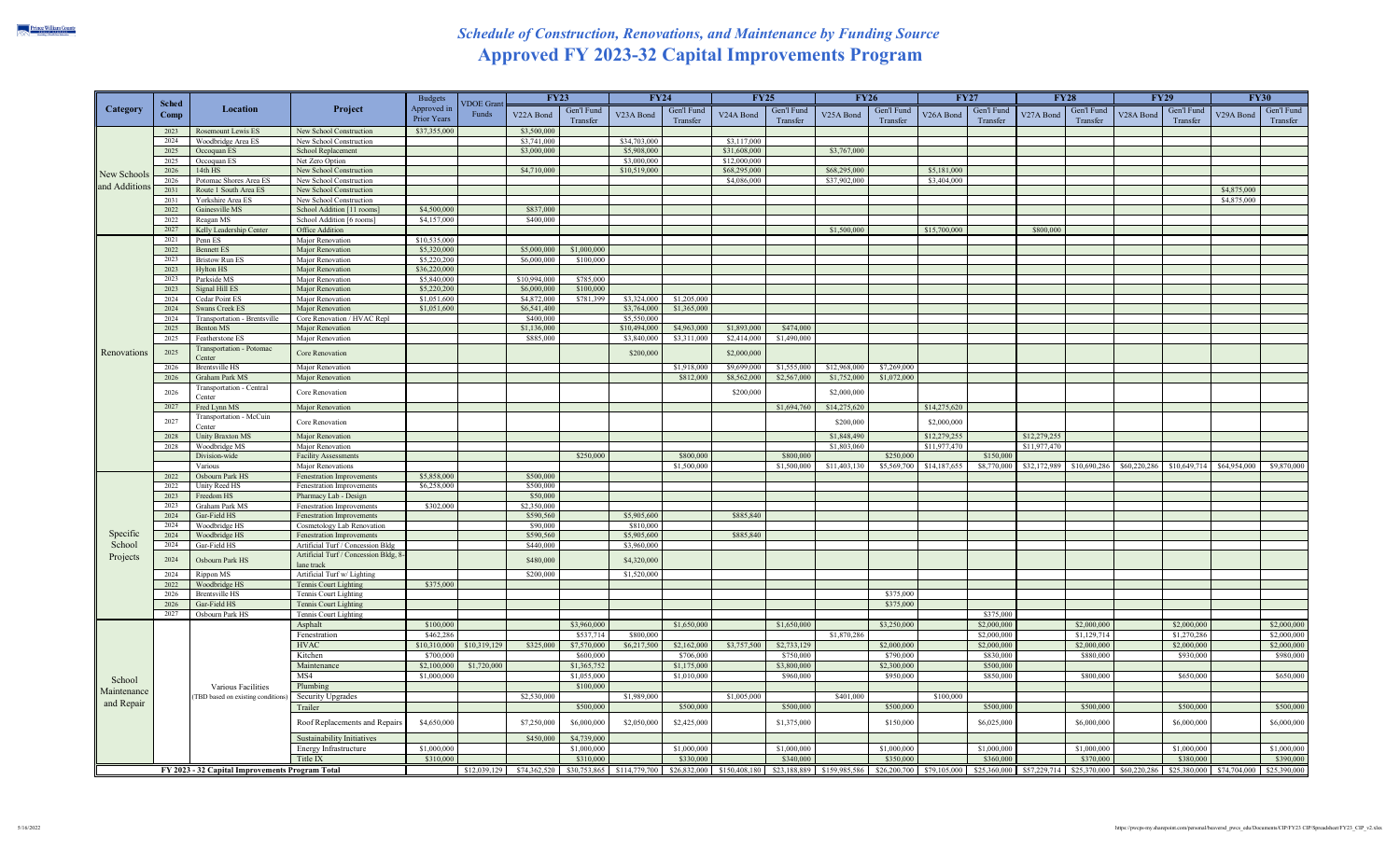## *Schedule of Construction, Renovations, and Maintenance by Funding Source*  **Approved FY 2023-32 Capital Improvements Program**

|                                     | Sched<br>Comp | Location                                                | Project                                               | <b>Budgets</b><br>Approved in | <b>VDOE</b> Gran | <b>FY23</b>  |             | <b>FY24</b>            |             | <b>FY25</b>  |             | <b>FY26</b>                                                                                                             |             | <b>FY27</b>  |             | <b>FY28</b>  |                           | <b>FY29</b> |                           | <b>FY30</b>                                                                   |             |
|-------------------------------------|---------------|---------------------------------------------------------|-------------------------------------------------------|-------------------------------|------------------|--------------|-------------|------------------------|-------------|--------------|-------------|-------------------------------------------------------------------------------------------------------------------------|-------------|--------------|-------------|--------------|---------------------------|-------------|---------------------------|-------------------------------------------------------------------------------|-------------|
| Category                            |               |                                                         |                                                       |                               |                  |              | Gen'l Fund  |                        | Gen'l Fund  |              | Gen'l Fund  |                                                                                                                         | Gen'l Fund  |              | Gen'l Fund  | Gen'l Fund   |                           |             | Gen'l Fund                |                                                                               | Gen'l Fund  |
|                                     |               |                                                         |                                                       | Prior Years                   | Funds            | V22A Bond    | Transfer    | V <sub>23</sub> A Bond | Transfer    | V24A Bond    | Transfer    | V <sub>25</sub> A Bond                                                                                                  | Transfer    | V26A Bond    | Transfer    | V27A Bond    | Transfer                  | V28A Bond   | Transfer                  | V29A Bond                                                                     | Transfer    |
| New Schools<br>and Additions        | 2023          | Rosemount Lewis ES                                      | New School Construction                               | \$37,355,000                  |                  | \$3,500,000  |             |                        |             |              |             |                                                                                                                         |             |              |             |              |                           |             |                           |                                                                               |             |
|                                     | 2024          | Woodbridge Area ES                                      | New School Construction                               |                               |                  | \$3,741,000  |             | \$34,703,000           |             | \$3,117,000  |             |                                                                                                                         |             |              |             |              |                           |             |                           |                                                                               |             |
|                                     | 2025          | Occoquan ES                                             | School Replacement                                    |                               |                  | \$3,000,000  |             | \$5,908,000            |             | \$31,608,000 |             | \$3,767,000                                                                                                             |             |              |             |              |                           |             |                           |                                                                               |             |
|                                     | 2025          | Occoquan ES                                             | Net Zero Option                                       |                               |                  |              |             | \$3,000,000            |             | \$12,000,000 |             |                                                                                                                         |             |              |             |              |                           |             |                           |                                                                               |             |
|                                     | 2026          | 14th HS                                                 | New School Construction                               |                               |                  | \$4,710,000  |             | \$10,519,000           |             | \$68,295,000 |             | \$68,295,000                                                                                                            |             | \$5,181,000  |             |              |                           |             |                           |                                                                               |             |
|                                     | 2026          | Potomac Shores Area ES                                  | New School Construction                               |                               |                  |              |             |                        |             | \$4,086,000  |             | \$37,902,000                                                                                                            |             | \$3,404,000  |             |              |                           |             |                           |                                                                               |             |
|                                     | 2031          | Route 1 South Area ES                                   | New School Construction                               |                               |                  |              |             |                        |             |              |             |                                                                                                                         |             |              |             |              |                           |             |                           | \$4,875,000                                                                   |             |
|                                     | 2031          | Yorkshire Area ES                                       | New School Construction                               |                               |                  |              |             |                        |             |              |             |                                                                                                                         |             |              |             |              |                           |             |                           | \$4,875,000                                                                   |             |
|                                     | 2022          | Gainesville MS                                          | School Addition [11 rooms]                            | \$4,500,000                   |                  | \$837,000    |             |                        |             |              |             |                                                                                                                         |             |              |             |              |                           |             |                           |                                                                               |             |
|                                     | 2022          | Reagan MS                                               | School Addition [6 rooms]                             | \$4,157,000                   |                  | \$400,000    |             |                        |             |              |             |                                                                                                                         |             |              |             |              |                           |             |                           |                                                                               |             |
|                                     | 2027          | Kelly Leadership Center                                 | Office Addition                                       |                               |                  |              |             |                        |             |              |             | \$1,500,000                                                                                                             |             | \$15,700,000 |             | \$800,000    |                           |             |                           |                                                                               |             |
|                                     | 2021          | Penn ES                                                 | Major Renovation                                      | \$10,535,000                  |                  |              |             |                        |             |              |             |                                                                                                                         |             |              |             |              |                           |             |                           |                                                                               |             |
|                                     | 2022          | <b>Bennett ES</b>                                       | <b>Major Renovation</b>                               | \$5,320,000                   |                  | \$5,000,000  | \$1,000,000 |                        |             |              |             |                                                                                                                         |             |              |             |              |                           |             |                           |                                                                               |             |
|                                     | 2023          | <b>Bristow Run ES</b>                                   | Major Renovation                                      | \$5,220,200                   |                  | \$6,000,000  | \$100,000   |                        |             |              |             |                                                                                                                         |             |              |             |              |                           |             |                           |                                                                               |             |
|                                     | 2023          | Hylton HS                                               | <b>Major Renovation</b>                               | \$36,220,000                  |                  |              |             |                        |             |              |             |                                                                                                                         |             |              |             |              |                           |             |                           |                                                                               |             |
|                                     | 2023          | Parkside MS                                             | Major Renovation                                      | \$5,840,000                   |                  | \$10,994,000 | \$785,000   |                        |             |              |             |                                                                                                                         |             |              |             |              |                           |             |                           |                                                                               |             |
|                                     | 2023          | Signal Hill ES                                          | <b>Major Renovation</b>                               | \$5,220,20                    |                  | \$6,000,000  | \$100,000   |                        |             |              |             |                                                                                                                         |             |              |             |              |                           |             |                           |                                                                               |             |
|                                     | 2024          | Cedar Point ES                                          | Major Renovation                                      | \$1,051,600                   |                  | \$4,872,000  | \$781,399   | \$3,324,000            | \$1,205,000 |              |             |                                                                                                                         |             |              |             |              |                           |             |                           |                                                                               |             |
|                                     | 2024          | Swans Creek ES                                          | Major Renovation                                      | \$1,051,600                   |                  | \$6,541,400  |             | \$3,764,000            | \$1,365,000 |              |             |                                                                                                                         |             |              |             |              |                           |             |                           |                                                                               |             |
|                                     | 2024          | Transportation - Brentsville                            | Core Renovation / HVAC Repl                           |                               |                  | \$400,000    |             | \$5,550,000            |             |              |             |                                                                                                                         |             |              |             |              |                           |             |                           |                                                                               |             |
|                                     | 2025          | Benton MS                                               | Major Renovation                                      |                               |                  | \$1,136,000  |             | \$10,494,000           | \$4,963,000 | \$1,893,000  | \$474,000   |                                                                                                                         |             |              |             |              |                           |             |                           |                                                                               |             |
|                                     | 2025          | Featherstone ES                                         | Major Renovation                                      |                               |                  | \$885,000    |             | \$3,840,000            | \$3,311,000 | \$2,414,000  | \$1,490,000 |                                                                                                                         |             |              |             |              |                           |             |                           |                                                                               |             |
| Renovations                         | 2025          | Transportation - Potomac<br>Center                      | Core Renovation                                       |                               |                  |              |             | \$200,000              |             | \$2,000,000  |             |                                                                                                                         |             |              |             |              |                           |             |                           |                                                                               |             |
|                                     | 2026          | <b>Brentsville HS</b>                                   | Major Renovation                                      |                               |                  |              |             |                        | \$1,918,000 | \$9,699,000  | \$1,555,000 | \$12,968,000                                                                                                            | \$7,269,000 |              |             |              |                           |             |                           |                                                                               |             |
|                                     | 2026          | Graham Park MS                                          | Major Renovation                                      |                               |                  |              |             |                        | \$812,000   | \$8,562,000  | \$2,567,000 | \$1,752,000                                                                                                             | \$1,072,000 |              |             |              |                           |             |                           |                                                                               |             |
|                                     |               | Transportation - Central                                |                                                       |                               |                  |              |             |                        |             |              |             |                                                                                                                         |             |              |             |              |                           |             |                           |                                                                               |             |
|                                     | 2026          | Center                                                  | Core Renovation                                       |                               |                  |              |             |                        |             | \$200,000    |             | \$2,000,000                                                                                                             |             |              |             |              |                           |             |                           |                                                                               |             |
|                                     | 2027          | Fred Lynn MS                                            | Major Renovation                                      |                               |                  |              |             |                        |             |              | \$1,694,760 | \$14,275,620                                                                                                            |             | \$14,275,620 |             |              |                           |             |                           |                                                                               |             |
|                                     |               | Transportation - McCuin                                 |                                                       |                               |                  |              |             |                        |             |              |             |                                                                                                                         |             |              |             |              |                           |             |                           |                                                                               |             |
|                                     | 2027          | Center                                                  | Core Renovation                                       |                               |                  |              |             |                        |             |              |             | \$200,000                                                                                                               |             | \$2,000,000  |             |              |                           |             |                           |                                                                               |             |
|                                     | 2028          | <b>Unity Braxton MS</b>                                 | Major Renovation                                      |                               |                  |              |             |                        |             |              |             | \$1,848,490                                                                                                             |             | \$12,279,255 |             | \$12,279,255 |                           |             |                           |                                                                               |             |
|                                     | 2028          | Woodbridge MS                                           | Major Renovation                                      |                               |                  |              |             |                        |             |              |             | \$1,803,060                                                                                                             |             | \$11,977,470 |             | \$11,977,470 |                           |             |                           |                                                                               |             |
|                                     |               | Division-wide                                           | <b>Facility Assessments</b>                           |                               |                  |              | \$250,000   |                        | \$800,000   |              | \$800,000   |                                                                                                                         | \$250,000   |              | \$150,00    |              |                           |             |                           |                                                                               |             |
|                                     |               | Various                                                 | <b>Major Renovations</b>                              |                               |                  |              |             |                        | \$1,500,000 |              | \$1,500,000 | \$11,403,130                                                                                                            | \$5,569,700 | \$14,187,655 | \$8,770,000 |              | \$32,172,989 \$10,690,286 |             | \$60,220,286 \$10,649,714 | \$64,954,000                                                                  | \$9,870,000 |
|                                     | 2022          | Osbourn Park HS                                         | Fenestration Improvements                             | \$5,858,000                   |                  | \$500,000    |             |                        |             |              |             |                                                                                                                         |             |              |             |              |                           |             |                           |                                                                               |             |
|                                     | 2022          | Unity Reed HS                                           | Fenestration Improvements                             | \$6,258,000                   |                  | \$500,000    |             |                        |             |              |             |                                                                                                                         |             |              |             |              |                           |             |                           |                                                                               |             |
|                                     | 2023          | Freedom HS                                              | Pharmacy Lab - Design                                 |                               |                  | \$50,000     |             |                        |             |              |             |                                                                                                                         |             |              |             |              |                           |             |                           |                                                                               |             |
|                                     | 2023          | Graham Park MS                                          | Fenestration Improvements                             | \$302.000                     |                  | \$2,350,000  |             |                        |             |              |             |                                                                                                                         |             |              |             |              |                           |             |                           |                                                                               |             |
|                                     | 2024          | Gar-Field HS                                            | <b>Fenestration Improvements</b>                      |                               |                  | \$590,560    |             | \$5,905,600            |             | \$885,840    |             |                                                                                                                         |             |              |             |              |                           |             |                           |                                                                               |             |
|                                     | 2024          | Woodbridge HS                                           | Cosmetology Lab Renovation                            |                               |                  | \$90,000     |             | \$810,000              |             |              |             |                                                                                                                         |             |              |             |              |                           |             |                           |                                                                               |             |
| Specific                            | 2024          | Woodbridge HS                                           | Fenestration Improvements                             |                               |                  | \$590,560    |             | \$5,905,600            |             | \$885,840    |             |                                                                                                                         |             |              |             |              |                           |             |                           |                                                                               |             |
| School                              | 2024          | Gar-Field HS                                            | Artificial Turf / Concession Bldg                     |                               |                  | \$440,000    |             | \$3,960,000            |             |              |             |                                                                                                                         |             |              |             |              |                           |             |                           |                                                                               |             |
| Projects                            | 2024          | Osbourn Park HS                                         | Artificial Turf / Concession Bldg, 8                  |                               |                  | \$480,000    |             | \$4,320,000            |             |              |             |                                                                                                                         |             |              |             |              |                           |             |                           |                                                                               |             |
|                                     |               |                                                         | lane track                                            |                               |                  |              |             |                        |             |              |             |                                                                                                                         |             |              |             |              |                           |             |                           |                                                                               |             |
|                                     | 2024<br>2022  | Rippon MS<br>Woodbridge HS                              | Artificial Turf w/ Lighting                           | \$375,000                     |                  | \$200,000    |             | \$1,520,000            |             |              |             |                                                                                                                         |             |              |             |              |                           |             |                           |                                                                               |             |
|                                     | 2026          | <b>Brentsville HS</b>                                   | Tennis Court Lighting<br><b>Tennis Court Lighting</b> |                               |                  |              |             |                        |             |              |             |                                                                                                                         | \$375,000   |              |             |              |                           |             |                           |                                                                               |             |
|                                     | 2026          | Gar-Field HS                                            | Tennis Court Lighting                                 |                               |                  |              |             |                        |             |              |             |                                                                                                                         | \$375,000   |              |             |              |                           |             |                           |                                                                               |             |
|                                     | 2027          | Osbourn Park HS                                         | Tennis Court Lighting                                 |                               |                  |              |             |                        |             |              |             |                                                                                                                         |             |              | \$375,000   |              |                           |             |                           |                                                                               |             |
| School<br>Maintenance<br>and Repair |               |                                                         | Asphalt                                               | \$100,000                     |                  |              | \$3,960,000 |                        | \$1,650,000 |              | \$1,650,000 |                                                                                                                         | \$3,250,000 |              | \$2,000,00  |              | \$2,000,000               |             | \$2,000,000               |                                                                               | \$2,000,000 |
|                                     |               |                                                         | Fenestration                                          | \$462,286                     |                  |              | \$537,714   | \$800,000              |             |              |             | \$1,870,286                                                                                                             |             |              | \$2,000,000 |              | \$1,129,714               |             | \$1,270,286               |                                                                               | \$2,000,000 |
|                                     |               | Various Facilities<br>(TBD based on existing conditions | <b>HVAC</b>                                           | \$10,310,000                  | \$10,319,129     | \$325,000    | \$7,570,000 | \$6,217,500            | \$2,162,000 | \$3,757,500  | \$2,733,129 |                                                                                                                         | \$2,000,000 |              | \$2,000,000 |              | \$2,000,000               |             | \$2,000,000               |                                                                               | \$2,000,000 |
|                                     |               |                                                         | Kitchen                                               | \$700,000                     |                  |              | \$600,000   |                        | \$706,000   |              | \$750,000   |                                                                                                                         | \$790,000   |              | \$830,000   |              | \$880,000                 |             | \$930,000                 |                                                                               | \$980,000   |
|                                     |               |                                                         | Maintenance                                           | \$2,100,000                   | \$1,720,000      |              | \$1,365,752 |                        | \$1,175,000 |              | \$3,800,000 |                                                                                                                         | \$2,300,000 |              | \$500,000   |              |                           |             |                           |                                                                               |             |
|                                     |               |                                                         | MS4                                                   | \$1,000,000                   |                  |              | \$1,055,000 |                        |             |              | \$960,000   |                                                                                                                         |             |              | \$850,000   |              | \$800,000                 |             | \$650,000                 |                                                                               | \$650,000   |
|                                     |               |                                                         |                                                       |                               |                  |              |             |                        | \$1,010,000 |              |             |                                                                                                                         | \$950,000   |              |             |              |                           |             |                           |                                                                               |             |
|                                     |               |                                                         | Plumbing                                              |                               |                  | \$2,530,000  | \$100,000   |                        |             | \$1,005,000  |             |                                                                                                                         |             | \$100,000    |             |              |                           |             |                           |                                                                               |             |
|                                     |               |                                                         | Security Upgrades                                     |                               |                  |              |             | \$1,989,000            |             |              |             | \$401,000                                                                                                               |             |              |             |              |                           |             |                           |                                                                               |             |
|                                     |               |                                                         | Trailer                                               |                               |                  |              | \$500,000   |                        | \$500,000   |              | \$500,000   |                                                                                                                         | \$500,000   |              | \$500,000   |              | \$500,000                 |             | \$500,000                 |                                                                               | \$500,000   |
|                                     |               |                                                         | Roof Replacements and Repairs                         | \$4,650,000                   |                  | \$7,250,000  | \$6,000,000 | \$2,050,000            | \$2,425,000 |              | \$1,375,000 |                                                                                                                         | \$150,000   |              | \$6,025,000 |              | \$6,000,000               |             | \$6,000,000               |                                                                               | \$6,000,000 |
|                                     |               |                                                         | Sustainability Initiatives                            |                               |                  | \$450,000    | \$4,739,000 |                        |             |              |             |                                                                                                                         |             |              |             |              |                           |             |                           |                                                                               |             |
|                                     |               |                                                         |                                                       |                               |                  |              |             |                        |             |              |             |                                                                                                                         |             |              |             |              |                           |             |                           |                                                                               |             |
|                                     |               |                                                         | <b>Energy Infrastructure</b>                          | \$1,000,000                   |                  |              | \$1,000,000 |                        | \$1,000,000 |              | \$1,000,000 |                                                                                                                         | \$1,000,000 |              | \$1,000,000 |              | \$1,000,000               |             | \$1,000,000               |                                                                               | \$1,000,000 |
|                                     |               |                                                         | Title IX                                              | \$310,000                     |                  |              | \$310,000   |                        | \$330,000   |              | \$340,000   |                                                                                                                         | \$350,000   |              | \$360,000   |              | \$370,000                 |             | \$380,000                 |                                                                               | \$390,000   |
|                                     |               | FY 2023 - 32 Capital Improvements Program Total         |                                                       |                               | \$12,039,129     | \$74,362,520 |             |                        |             |              |             | \$30,753,865 \$114,779,700 \$26,832,000 \$150,408,180 \$23,188,889 \$159,985,586 \$26,200,700 \$79,105,000 \$25,360,000 |             |              |             |              |                           |             |                           | \$57,229,714 \$25,370,000 \$60,220,286 \$25,380,000 \$74,704,000 \$25,390,000 |             |